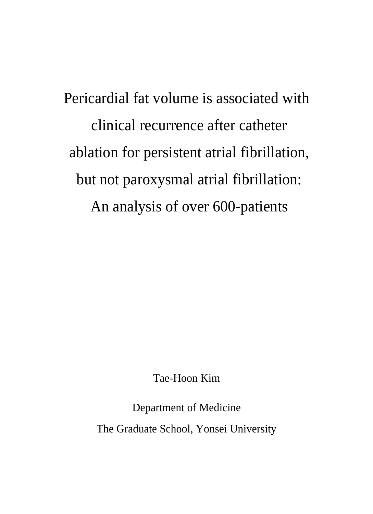Pericardial fat volume is associated with clinical recurrence after catheter ablation for persistent atrial fibrillation, but not paroxysmal atrial fibrillation: An analysis of over 600-patients

Tae-Hoon Kim

Department of Medicine The Graduate School, Yonsei University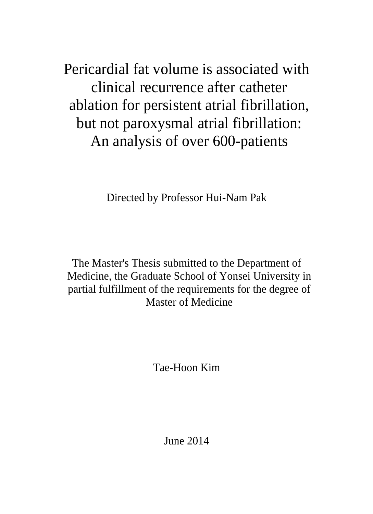Pericardial fat volume is associated with clinical recurrence after catheter ablation for persistent atrial fibrillation, but not paroxysmal atrial fibrillation: An analysis of over 600-patients

Directed by Professor Hui-Nam Pak

The Master's Thesis submitted to the Department of Medicine, the Graduate School of Yonsei University in partial fulfillment of the requirements for the degree of Master of Medicine

Tae-Hoon Kim

June 2014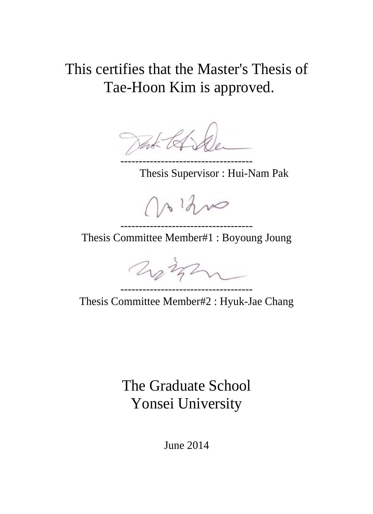# This certifies that the Master's Thesis of Tae-Hoon Kim is approved.

That left

------------------------------------ Thesis Supervisor : Hui-Nam Pak



------------------------------------ Thesis Committee Member#1 : Boyoung Joung

Zonza

------------------------------------ Thesis Committee Member#2 : Hyuk-Jae Chang

> The Graduate School Yonsei University

> > June 2014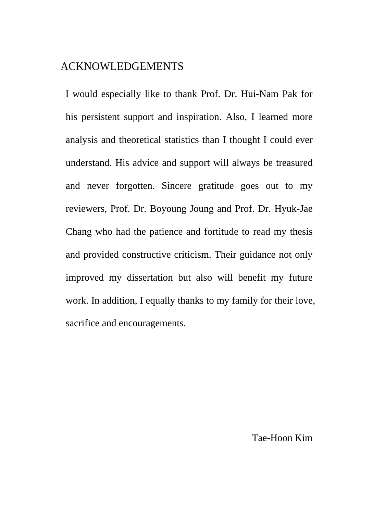### ACKNOWLEDGEMENTS

I would especially like to thank Prof. Dr. Hui-Nam Pak for his persistent support and inspiration. Also, I learned more analysis and theoretical statistics than I thought I could ever understand. His advice and support will always be treasured and never forgotten. Sincere gratitude goes out to my reviewers, Prof. Dr. Boyoung Joung and Prof. Dr. Hyuk-Jae Chang who had the patience and fortitude to read my thesis and provided constructive criticism. Their guidance not only improved my dissertation but also will benefit my future work. In addition, I equally thanks to my family for their love, sacrifice and encouragements.

Tae-Hoon Kim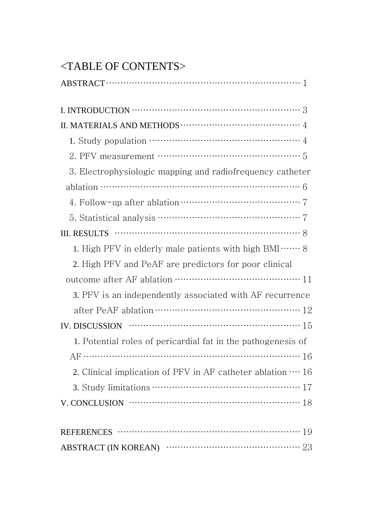## <TABLE OF CONTENTS>

| 3. Electrophysiologic mapping and radiofrequency catheter                                                                                           |
|-----------------------------------------------------------------------------------------------------------------------------------------------------|
| ablation $\cdots$ $\cdots$ $\cdots$ $\cdots$ $\cdots$ $\cdots$ $\cdots$ $\cdots$ $\cdots$ $\cdots$ $\cdots$ $\cdots$ $\cdots$ $\cdots$ $\cdots$     |
|                                                                                                                                                     |
|                                                                                                                                                     |
| III. RESULTS $\cdots$ $\cdots$ $\cdots$ $\cdots$ $\cdots$ $\cdots$ $\cdots$ $\cdots$ $\cdots$ $\cdots$ $\cdots$ $\cdots$ $\cdots$ $\cdots$ $\cdots$ |
| 1. High PFV in elderly male patients with high $BMI \cdots \cdots 8$                                                                                |
| 2. High PFV and PeAF are predictors for poor clinical                                                                                               |
|                                                                                                                                                     |
| 3. PFV is an independently associated with AF recurrence                                                                                            |
|                                                                                                                                                     |
| IV. DISCUSSION $\cdots$ $\cdots$ $\cdots$ $\cdots$ $\cdots$ $\cdots$ $\cdots$ $\cdots$ $\cdots$ $\cdots$ $\cdots$ $\cdots$ $\cdots$                 |
| 1. Potential roles of pericardial fat in the pathogenesis of                                                                                        |
|                                                                                                                                                     |
| 2. Clinical implication of PFV in AF catheter ablation $\cdots$ 16                                                                                  |
| 3. Study limitations …………………………………………… 17                                                                                                           |
| V. CONCLUSION $\cdots$                                                                                                                              |
|                                                                                                                                                     |
|                                                                                                                                                     |
|                                                                                                                                                     |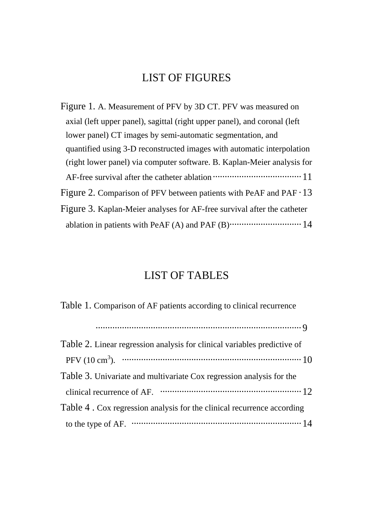### LIST OF FIGURES

| Figure 1. A. Measurement of PFV by 3D CT. PFV was measured on             |
|---------------------------------------------------------------------------|
| axial (left upper panel), sagittal (right upper panel), and coronal (left |
| lower panel) CT images by semi-automatic segmentation, and                |
| quantified using 3-D reconstructed images with automatic interpolation    |
| (right lower panel) via computer software. B. Kaplan-Meier analysis for   |
|                                                                           |
| Figure 2. Comparison of PFV between patients with PeAF and $PAF \cdot 13$ |
| Figure 3. Kaplan-Meier analyses for AF-free survival after the catheter   |
|                                                                           |

## LIST OF TABLES

Table 1. Comparison of AF patients according to clinical recurrence

| Table 2. Linear regression analysis for clinical variables predictive of |
|--------------------------------------------------------------------------|
|                                                                          |
| Table 3. Univariate and multivariate Cox regression analysis for the     |
|                                                                          |
| Table 4. Cox regression analysis for the clinical recurrence according   |
|                                                                          |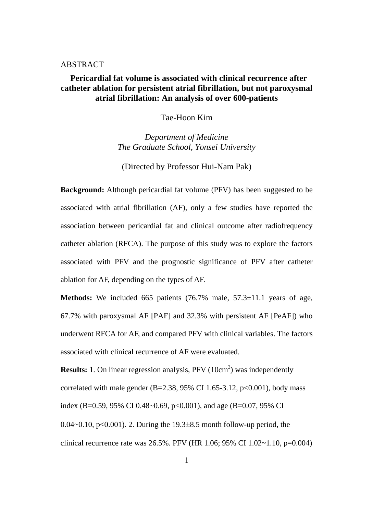#### **ABSTRACT**

#### **Pericardial fat volume is associated with clinical recurrence after catheter ablation for persistent atrial fibrillation, but not paroxysmal atrial fibrillation: An analysis of over 600-patients**

Tae-Hoon Kim

*Department of Medicine The Graduate School, Yonsei University* 

(Directed by Professor Hui-Nam Pak)

**Background:** Although pericardial fat volume (PFV) has been suggested to be associated with atrial fibrillation (AF), only a few studies have reported the association between pericardial fat and clinical outcome after radiofrequency catheter ablation (RFCA). The purpose of this study was to explore the factors associated with PFV and the prognostic significance of PFV after catheter ablation for AF, depending on the types of AF.

**Methods:** We included 665 patients (76.7% male, 57.3±11.1 years of age, 67.7% with paroxysmal AF [PAF] and 32.3% with persistent AF [PeAF]) who underwent RFCA for AF, and compared PFV with clinical variables. The factors associated with clinical recurrence of AF were evaluated.

**Results:** 1. On linear regression analysis, PFV (10cm<sup>3</sup>) was independently correlated with male gender (B=2.38, 95% CI 1.65-3.12,  $p<0.001$ ), body mass index (B=0.59, 95% CI 0.48~0.69, p<0.001), and age (B=0.07, 95% CI 0.04~0.10, p<0.001). 2. During the  $19.3\pm8.5$  month follow-up period, the clinical recurrence rate was 26.5%. PFV (HR 1.06; 95% CI 1.02~1.10, p=0.004)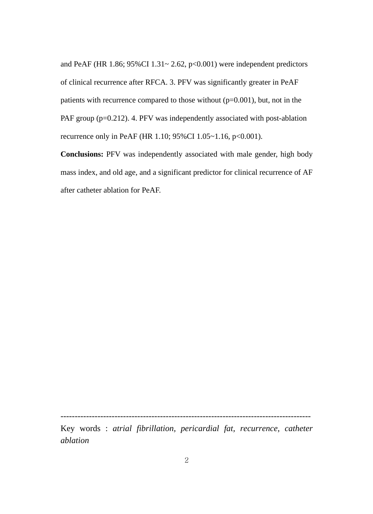and PeAF (HR 1.86;  $95\%$ CI 1.31~ 2.62, p<0.001) were independent predictors of clinical recurrence after RFCA. 3. PFV was significantly greater in PeAF patients with recurrence compared to those without  $(p=0.001)$ , but, not in the PAF group  $(p=0.212)$ . 4. PFV was independently associated with post-ablation recurrence only in PeAF (HR 1.10; 95%CI 1.05~1.16, p<0.001).

**Conclusions:** PFV was independently associated with male gender, high body mass index, and old age, and a significant predictor for clinical recurrence of AF after catheter ablation for PeAF.

----------------------------------------------------------------------------------------

Key words : *atrial fibrillation, pericardial fat, recurrence, catheter ablation*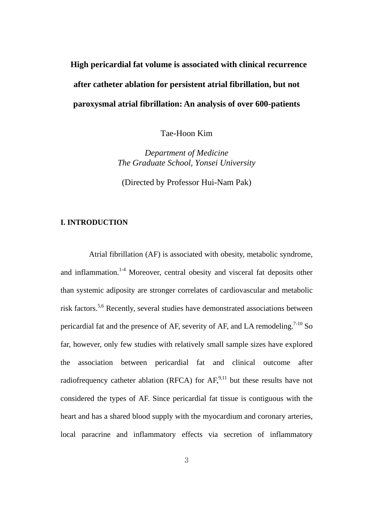# **High pericardial fat volume is associated with clinical recurrence after catheter ablation for persistent atrial fibrillation, but not paroxysmal atrial fibrillation: An analysis of over 600-patients**

Tae-Hoon Kim

*Department of Medicine The Graduate School, Yonsei University* 

(Directed by Professor Hui-Nam Pak)

#### **I. INTRODUCTION**

 Atrial fibrillation (AF) is associated with obesity, metabolic syndrome, and inflammation.<sup>1-4</sup> Moreover, central obesity and visceral fat deposits other than systemic adiposity are stronger correlates of cardiovascular and metabolic risk factors.<sup>[5,6](#page-24-0)</sup> Recently, several studies have demonstrated associations between pericardial fat and the presence of AF, severity of AF, and LA remodeling.<sup>7-10</sup> So far, however, only few studies with relatively small sample sizes have explored the association between pericardial fat and clinical outcome after radiofrequency catheter ablation (RFCA) for  $AF<sub>11</sub><sup>9,11</sup>$  but these results have not considered the types of AF. Since pericardial fat tissue is contiguous with the heart and has a shared blood supply with the myocardium and coronary arteries, local paracrine and inflammatory effects via secretion of inflammatory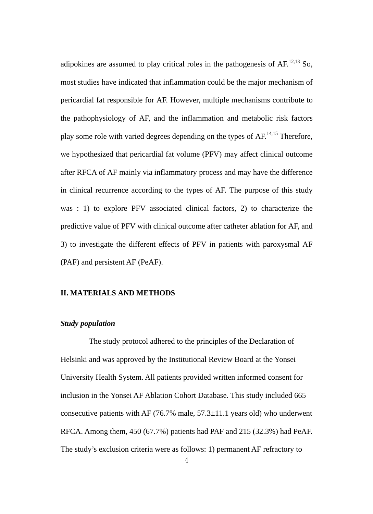adipokines are assumed to play critical roles in the pathogenesis of  $AF^{12,13}$  So, most studies have indicated that inflammation could be the major mechanism of pericardial fat responsible for AF. However, multiple mechanisms contribute to the pathophysiology of AF, and the inflammation and metabolic risk factors play some role with varied degrees depending on the types of  $AF^{14,15}$  $AF^{14,15}$  $AF^{14,15}$  Therefore, we hypothesized that pericardial fat volume (PFV) may affect clinical outcome after RFCA of AF mainly via inflammatory process and may have the difference in clinical recurrence according to the types of AF. The purpose of this study was : 1) to explore PFV associated clinical factors, 2) to characterize the predictive value of PFV with clinical outcome after catheter ablation for AF, and 3) to investigate the different effects of PFV in patients with paroxysmal AF (PAF) and persistent AF (PeAF).

#### **II. MATERIALS AND METHODS**

#### *Study population*

The study protocol adhered to the principles of the Declaration of Helsinki and was approved by the Institutional Review Board at the Yonsei University Health System. All patients provided written informed consent for inclusion in the Yonsei AF Ablation Cohort Database. This study included 665 consecutive patients with AF (76.7% male,  $57.3 \pm 11.1$  years old) who underwent RFCA. Among them, 450 (67.7%) patients had PAF and 215 (32.3%) had PeAF. The study's exclusion criteria were as follows: 1) permanent AF refractory to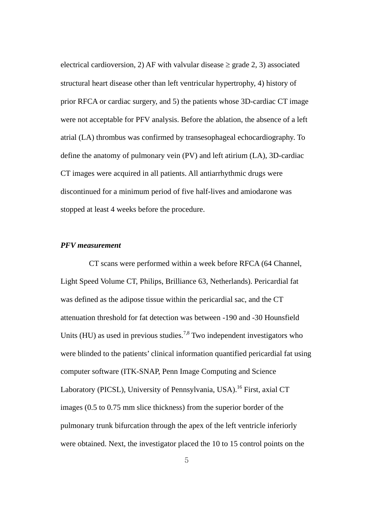electrical cardioversion, 2) AF with valvular disease  $\geq$  grade 2, 3) associated structural heart disease other than left ventricular hypertrophy, 4) history of prior RFCA or cardiac surgery, and 5) the patients whose 3D-cardiac CT image were not acceptable for PFV analysis. Before the ablation, the absence of a left atrial (LA) thrombus was confirmed by transesophageal echocardiography. To define the anatomy of pulmonary vein (PV) and left atirium (LA), 3D-cardiac CT images were acquired in all patients. All antiarrhythmic drugs were discontinued for a minimum period of five half-lives and amiodarone was stopped at least 4 weeks before the procedure.

#### *PFV measurement*

CT scans were performed within a week before RFCA (64 Channel, Light Speed Volume CT, Philips, Brilliance 63, Netherlands). Pericardial fat was defined as the adipose tissue within the pericardial sac, and the CT attenuation threshold for fat detection was between -190 and -30 Hounsfield Units (HU) as used in previous studies.<sup>[7](#page-24-0),[8](#page-24-0)</sup> Two independent investigators who were blinded to the patients' clinical information quantified pericardial fat using computer software (ITK-SNAP, [Penn Image Computing and Science](http://picsl.upenn.edu/)  [Laboratory \(PICSL\),](http://picsl.upenn.edu/) University of Pennsylvania, USA).<sup>16</sup> First, axial CT images (0.5 to 0.75 mm slice thickness) from the superior border of the pulmonary trunk bifurcation through the apex of the left ventricle inferiorly were obtained. Next, the investigator placed the 10 to 15 control points on the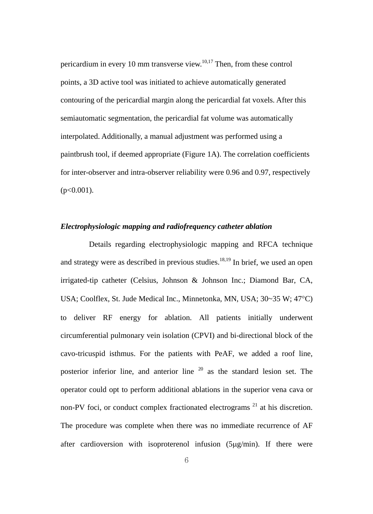pericardium in every [10](#page-24-0) mm transverse view.<sup>10,17</sup> Then, from these control points, a 3D active tool was initiated to achieve automatically generated contouring of the pericardial margin along the pericardial fat voxels. After this semiautomatic segmentation, the pericardial fat volume was automatically interpolated. Additionally, a manual adjustment was performed using a paintbrush tool, if deemed appropriate (Figure 1A). The correlation coefficients for inter-observer and intra-observer reliability were 0.96 and 0.97, respectively  $(p<0.001)$ .

#### *Electrophysiologic mapping and radiofrequency catheter ablation*

Details regarding electrophysiologic mapping and RFCA technique and strategy were as described in previous studies.<sup>[18,19](#page-25-0)</sup> In brief, we used an open irrigated-tip catheter (Celsius, Johnson & Johnson Inc.; Diamond Bar, CA, USA; Coolflex, St. Jude Medical Inc., Minnetonka, MN, USA; 30~35 W; 47°C) to deliver RF energy for ablation. All patients initially underwent circumferential pulmonary vein isolation (CPVI) and bi-directional block of the cavo-tricuspid isthmus. For the patients with PeAF, we added a roof line, posterior inferior line, and anterior line  $20$  as the standard lesion set. The operator could opt to perform additional ablations in the superior vena cava or non-PV foci, or conduct complex fractionated electrograms  $21$  at his discretion. The procedure was complete when there was no immediate recurrence of AF after cardioversion with isoproterenol infusion (5μg/min). If there were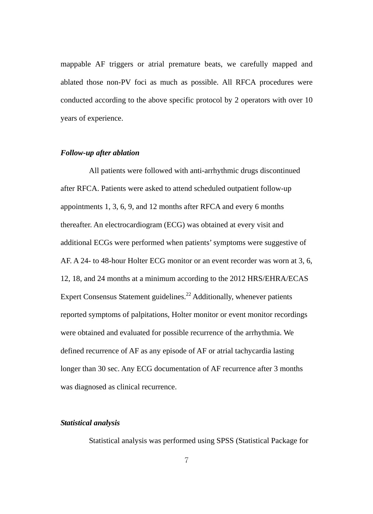mappable AF triggers or atrial premature beats, we carefully mapped and ablated those non-PV foci as much as possible. All RFCA procedures were conducted according to the above specific protocol by 2 operators with over 10 years of experience.

#### *Follow-up after ablation*

All patients were followed with anti-arrhythmic drugs discontinued after RFCA. Patients were asked to attend scheduled outpatient follow-up appointments 1, 3, 6, 9, and 12 months after RFCA and every 6 months thereafter. An electrocardiogram (ECG) was obtained at every visit and additional ECGs were performed when patients' symptoms were suggestive of AF. A 24- to 48-hour Holter ECG monitor or an event recorder was worn at 3, 6, 12, 18, and 24 months at a minimum according to the 2012 HRS/EHRA/ECAS Expert Consensus Statement guidelines.<sup>22</sup> Additionally, whenever patients reported symptoms of palpitations, Holter monitor or event monitor recordings were obtained and evaluated for possible recurrence of the arrhythmia. We defined recurrence of AF as any episode of AF or atrial tachycardia lasting longer than 30 sec. Any ECG documentation of AF recurrence after 3 months was diagnosed as clinical recurrence.

#### *Statistical analysis*

Statistical analysis was performed using SPSS (Statistical Package for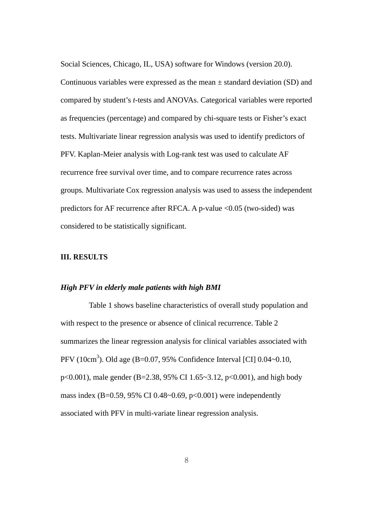Social Sciences, Chicago, IL, USA) software for Windows (version 20.0). Continuous variables were expressed as the mean  $\pm$  standard deviation (SD) and compared by student's *t*-tests and ANOVAs. Categorical variables were reported as frequencies (percentage) and compared by chi-square tests or Fisher's exact tests. Multivariate linear regression analysis was used to identify predictors of PFV. Kaplan-Meier analysis with Log-rank test was used to calculate AF recurrence free survival over time, and to compare recurrence rates across groups. Multivariate Cox regression analysis was used to assess the independent predictors for AF recurrence after RFCA. A p-value  $\leq 0.05$  (two-sided) was considered to be statistically significant.

#### **III. RESULTS**

#### *High PFV in elderly male patients with high BMI*

Table 1 shows baseline characteristics of overall study population and with respect to the presence or absence of clinical recurrence. Table 2 summarizes the linear regression analysis for clinical variables associated with PFV ( $10 \text{cm}^3$ ). Old age (B=0.07, 95% Confidence Interval [CI]  $0.04 \text{~}$ -0.10, p<0.001), male gender (B=2.38, 95% CI 1.65~3.12, p<0.001), and high body mass index (B=0.59, 95% CI 0.48~0.69, p<0.001) were independently associated with PFV in multi-variate linear regression analysis.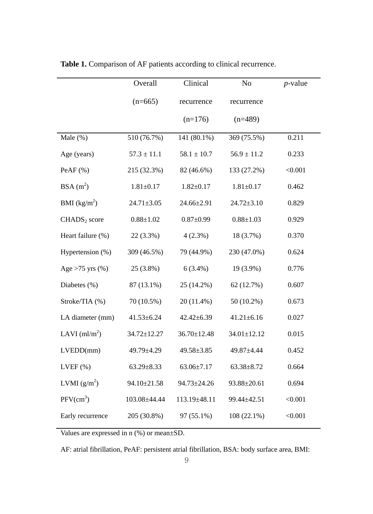|                          | Overall          | Clinical          | No                | $p$ -value |  |
|--------------------------|------------------|-------------------|-------------------|------------|--|
|                          | $(n=665)$        | recurrence        | recurrence        |            |  |
|                          |                  | $(n=176)$         | $(n=489)$         |            |  |
| Male (%)                 | 510 (76.7%)      | 141 (80.1%)       | 369 (75.5%)       | 0.211      |  |
| Age (years)              | $57.3 \pm 11.1$  | $58.1 \pm 10.7$   | $56.9 \pm 11.2$   | 0.233      |  |
| PeAF $(\%)$              | 215 (32.3%)      | 82 (46.6%)        | 133 (27.2%)       | < 0.001    |  |
| $BSA(m^2)$               | $1.81 \pm 0.17$  | $1.82 \pm 0.17$   | $1.81 \pm 0.17$   | 0.462      |  |
| BMI $(kg/m^2)$           | $24.71 \pm 3.05$ | $24.66 \pm 2.91$  | $24.72 \pm 3.10$  | 0.829      |  |
| CHADS <sub>2</sub> score | $0.88{\pm}1.02$  | $0.87 + 0.99$     | $0.88 \pm 1.03$   | 0.929      |  |
| Heart failure (%)        | 22 (3.3%)        | 4(2.3%)           | 18 (3.7%)         | 0.370      |  |
| Hypertension (%)         | 309 (46.5%)      | 79 (44.9%)        | 230 (47.0%)       | 0.624      |  |
| Age $>75$ yrs $(\% )$    | 25 (3.8%)        | $6(3.4\%)$        | 19 (3.9%)         | 0.776      |  |
| Diabetes (%)             | 87 (13.1%)       | 25 (14.2%)        | 62 (12.7%)        | 0.607      |  |
| Stroke/TIA (%)           | 70 (10.5%)       | 20 (11.4%)        | 50 (10.2%)        | 0.673      |  |
| LA diameter (mm)         | $41.53 \pm 6.24$ | $42.42 \pm 6.39$  | $41.21 \pm 6.16$  | 0.027      |  |
| LAVI $(ml/m^2)$          | 34.72±12.27      | $36.70 \pm 12.48$ | $34.01 \pm 12.12$ | 0.015      |  |
| LVEDD(mm)                | 49.79±4.29       | 49.58±3.85        | 49.87±4.44        | 0.452      |  |
| LVEF(%)                  | $63.29 \pm 8.33$ | $63.06 \pm 7.17$  | $63.38 + 8.72$    | 0.664      |  |
| LVMI $(g/m^2)$           | 94.10±21.58      | 94.73±24.26       | 93.88±20.61       | 0.694      |  |
| $PFV$ (cm <sup>3</sup> ) | 103.08±44.44     | 113.19±48.11      | 99.44±42.51       | < 0.001    |  |
| Early recurrence         | 205 (30.8%)      | 97 (55.1%)        | $108(22.1\%)$     | < 0.001    |  |

**Table 1.** Comparison of AF patients according to clinical recurrence.

Values are expressed in n (%) or mean±SD.

AF: atrial fibrillation, PeAF: persistent atrial fibrillation, BSA: body surface area, BMI: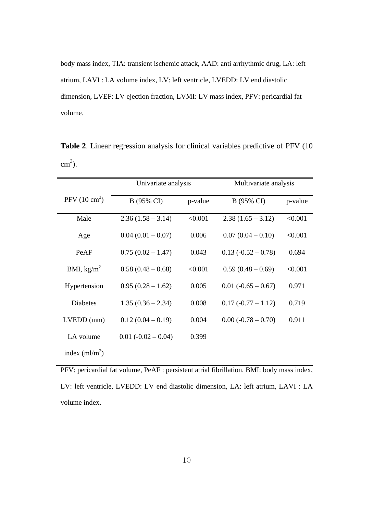body mass index, TIA: transient ischemic attack, AAD: anti arrhythmic drug, LA: left atrium, LAVI : LA volume index, LV: left ventricle, LVEDD: LV end diastolic dimension, LVEF: LV ejection fraction, LVMI: LV mass index, PFV: pericardial fat volume.

|                           | Univariate analysis   |         | Multivariate analysis |         |  |
|---------------------------|-----------------------|---------|-----------------------|---------|--|
|                           |                       |         |                       |         |  |
| PFV (10 cm <sup>3</sup> ) | B (95% CI)            | p-value | B (95% CI)            | p-value |  |
|                           |                       |         |                       |         |  |
| Male                      | $2.36(1.58 - 3.14)$   | < 0.001 | $2.38(1.65 - 3.12)$   | < 0.001 |  |
|                           |                       |         |                       |         |  |
| Age                       | $0.04(0.01-0.07)$     | 0.006   | $0.07(0.04-0.10)$     | < 0.001 |  |
|                           |                       |         |                       |         |  |
| PeAF                      | $0.75(0.02 - 1.47)$   | 0.043   | $0.13(-0.52-0.78)$    | 0.694   |  |
| BMI, $\text{kg/m}^2$      | $0.58(0.48-0.68)$     | < 0.001 | $0.59(0.48-0.69)$     | < 0.001 |  |
|                           |                       |         |                       |         |  |
| Hypertension              | $0.95(0.28-1.62)$     | 0.005   | $0.01 (-0.65 - 0.67)$ | 0.971   |  |
|                           |                       |         |                       |         |  |
| <b>Diabetes</b>           | $1.35(0.36 - 2.34)$   | 0.008   | $0.17(-0.77-1.12)$    | 0.719   |  |
|                           |                       |         |                       |         |  |
| $LVEDD$ (mm)              | $0.12(0.04-0.19)$     | 0.004   | $0.00 (-0.78 - 0.70)$ | 0.911   |  |
| LA volume                 | $0.01 (-0.02 - 0.04)$ | 0.399   |                       |         |  |
|                           |                       |         |                       |         |  |
| index $(ml/m2)$           |                       |         |                       |         |  |

**Table 2**. Linear regression analysis for clinical variables predictive of PFV (10  $\text{cm}^3$ ).

PFV: pericardial fat volume, PeAF : persistent atrial fibrillation, BMI: body mass index, LV: left ventricle, LVEDD: LV end diastolic dimension, LA: left atrium, LAVI : LA volume index.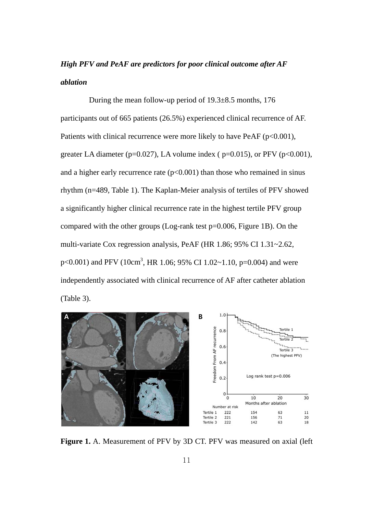## *High PFV and PeAF are predictors for poor clinical outcome after AF ablation*

During the mean follow-up period of 19.3±8.5 months, 176 participants out of 665 patients (26.5%) experienced clinical recurrence of AF. Patients with clinical recurrence were more likely to have PeAF  $(p<0.001)$ , greater LA diameter ( $p=0.027$ ), LA volume index ( $p=0.015$ ), or PFV ( $p<0.001$ ), and a higher early recurrence rate  $(p<0.001)$  than those who remained in sinus rhythm (n=489, Table 1). The Kaplan-Meier analysis of tertiles of PFV showed a significantly higher clinical recurrence rate in the highest tertile PFV group compared with the other groups (Log-rank test  $p=0.006$ , Figure 1B). On the multi-variate Cox regression analysis, PeAF (HR 1.86; 95% CI 1.31~2.62,  $p<0.001$ ) and PFV (10cm<sup>3</sup>, HR 1.06; 95% CI 1.02~1.10, p=0.004) and were independently associated with clinical recurrence of AF after catheter ablation (Table 3).



**Figure 1.** A. Measurement of PFV by 3D CT. PFV was measured on axial (left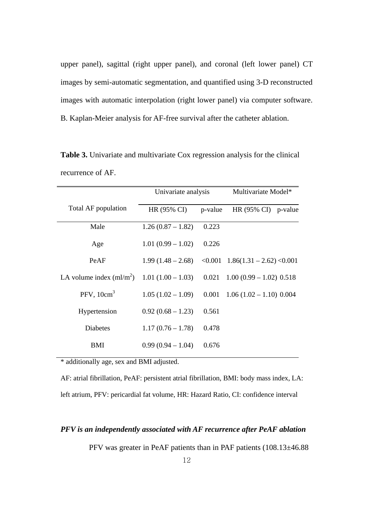upper panel), sagittal (right upper panel), and coronal (left lower panel) CT images by semi-automatic segmentation, and quantified using 3-D reconstructed images with automatic interpolation (right lower panel) via computer software. B. Kaplan-Meier analysis for AF-free survival after the catheter ablation.

|                           | Univariate analysis    |         | Multivariate Model*                                           |  |
|---------------------------|------------------------|---------|---------------------------------------------------------------|--|
|                           |                        |         |                                                               |  |
| Total AF population       | HR $(95\% \text{ CI})$ | p-value | HR $(95\% \text{ CI})$ p-value                                |  |
| Male                      | $1.26(0.87 - 1.82)$    | 0.223   |                                                               |  |
| Age                       | $1.01(0.99 - 1.02)$    | 0.226   |                                                               |  |
| PeAF                      | $1.99(1.48-2.68)$      |         | $\langle 0.001 \quad 1.86(1.31 - 2.62) \langle 0.001 \rangle$ |  |
| LA volume index $(ml/m2)$ | $1.01(1.00 - 1.03)$    | 0.021   | $1.00(0.99 - 1.02)0.518$                                      |  |
| PFV, $10 \text{cm}^3$     | $1.05(1.02 - 1.09)$    | 0.001   | $1.06(1.02 - 1.10)0.004$                                      |  |
| Hypertension              | $0.92(0.68 - 1.23)$    | 0.561   |                                                               |  |
| Diabetes                  | $1.17(0.76-1.78)$      | 0.478   |                                                               |  |
| BMI                       | $0.99(0.94-1.04)$      | 0.676   |                                                               |  |

**Table 3.** Univariate and multivariate Cox regression analysis for the clinical recurrence of AF.

\* additionally age, sex and BMI adjusted.

AF: atrial fibrillation, PeAF: persistent atrial fibrillation, BMI: body mass index, LA: left atrium, PFV: pericardial fat volume, HR: Hazard Ratio, CI: confidence interval

#### *PFV is an independently associated with AF recurrence after PeAF ablation*

PFV was greater in PeAF patients than in PAF patients (108.13±46.88)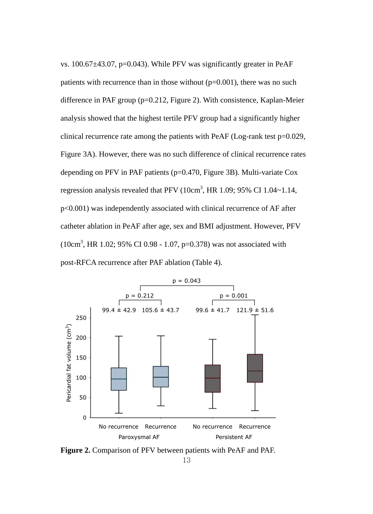vs.  $100.67 \pm 43.07$ , p=0.043). While PFV was significantly greater in PeAF patients with recurrence than in those without  $(p=0.001)$ , there was no such difference in PAF group ( $p=0.212$ , Figure 2). With consistence, Kaplan-Meier analysis showed that the highest tertile PFV group had a significantly higher clinical recurrence rate among the patients with PeAF (Log-rank test p=0.029, Figure 3A). However, there was no such difference of clinical recurrence rates depending on PFV in PAF patients (p=0.470, Figure 3B). Multi-variate Cox regression analysis revealed that PFV  $(10 \text{cm}^3, \text{HR } 1.09; 95\% \text{ CI } 1.04 \text{m}^{-1}$ .14, p<0.001) was independently associated with clinical recurrence of AF after catheter ablation in PeAF after age, sex and BMI adjustment. However, PFV  $(10 \text{cm}^3, \text{HR } 1.02; 95\% \text{ CI } 0.98 - 1.07, \text{p=0.378})$  was not associated with post-RFCA recurrence after PAF ablation (Table 4).



**Figure 2.** Comparison of PFV between patients with PeAF and PAF.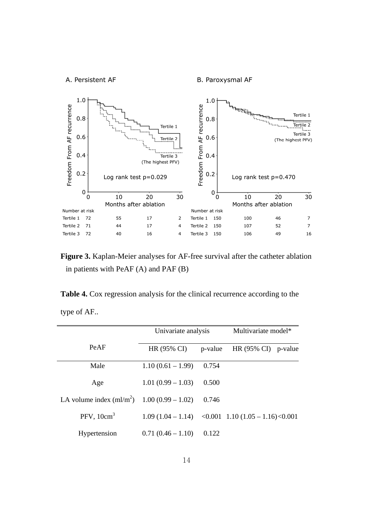A. Persistent AF

B. Paroxysmal AF



**Figure 3.** Kaplan-Meier analyses for AF-free survival after the catheter ablation in patients with PeAF (A) and PAF (B)

**Table 4.** Cox regression analysis for the clinical recurrence according to the

type of AF..

|                                               | Univariate analysis |         | Multivariate model*                                      |  |
|-----------------------------------------------|---------------------|---------|----------------------------------------------------------|--|
| PeAF                                          | HR (95% CI)         | p-value | HR $(95\% \text{ CI})$ p-value                           |  |
| Male                                          | $1.10(0.61 - 1.99)$ | 0.754   |                                                          |  |
| Age                                           | $1.01(0.99 - 1.03)$ | 0.500   |                                                          |  |
| LA volume index $(ml/m^2)$ 1.00 (0.99 – 1.02) |                     | 0.746   |                                                          |  |
| $PFV$ , $10cm3$                               |                     |         | $1.09(1.04 - 1.14)$ < 0.001 1.10 $(1.05 - 1.16)$ < 0.001 |  |
| Hypertension                                  | $0.71(0.46-1.10)$   | 0.122   |                                                          |  |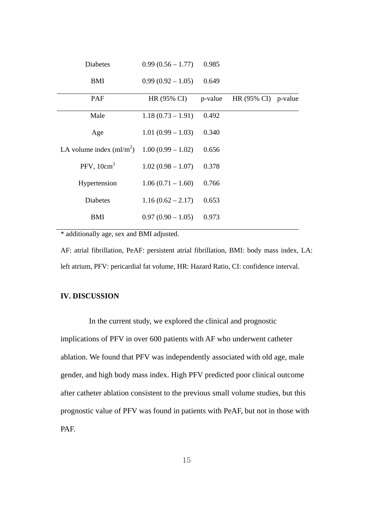| <b>Diabetes</b>                         | $0.99(0.56 - 1.77)$ | 0.985   |                                |  |
|-----------------------------------------|---------------------|---------|--------------------------------|--|
| BMI                                     | $0.99(0.92-1.05)$   | 0.649   |                                |  |
| <b>PAF</b>                              | $HR (95\% CI)$      | p-value | HR $(95\% \text{ CI})$ p-value |  |
| Male                                    | $1.18(0.73-1.91)$   | 0.492   |                                |  |
| Age                                     | $1.01(0.99 - 1.03)$ | 0.340   |                                |  |
| LA volume index $\text{m}/\text{m}^2$ ) | $1.00(0.99 - 1.02)$ | 0.656   |                                |  |
| PFV, $10 \text{cm}^3$                   | $1.02(0.98 - 1.07)$ | 0.378   |                                |  |
| Hypertension                            | $1.06(0.71-1.60)$   | 0.766   |                                |  |
| <b>Diabetes</b>                         | $1.16(0.62 - 2.17)$ | 0.653   |                                |  |
| BMI                                     | $0.97(0.90-1.05)$   | 0.973   |                                |  |
|                                         |                     |         |                                |  |

\* additionally age, sex and BMI adjusted.

AF: atrial fibrillation, PeAF: persistent atrial fibrillation, BMI: body mass index, LA: left atrium, PFV: pericardial fat volume, HR: Hazard Ratio, CI: confidence interval.

#### **IV. DISCUSSION**

 In the current study, we explored the clinical and prognostic implications of PFV in over 600 patients with AF who underwent catheter ablation. We found that PFV was independently associated with old age, male gender, and high body mass index. High PFV predicted poor clinical outcome after catheter ablation consistent to the previous small volume studies, but this prognostic value of PFV was found in patients with PeAF, but not in those with PAF.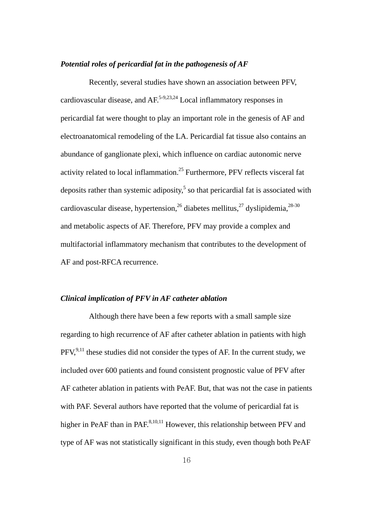#### *Potential roles of pericardial fat in the pathogenesis of AF*

Recently, several studies have shown an association between PFV, cardiovascular disease, and AF.<sup>5-9,[23,24](#page-26-0)</sup> Local inflammatory responses in pericardial fat were thought to play an important role in the genesis of AF and electroanatomical remodeling of the LA. Pericardial fat tissue also contains an abundance of ganglionate plexi, which influence on cardiac autonomic nerve activity related to local inflammation.<sup>25</sup> Furthermore, PFV reflects visceral fat deposits rather than systemic adiposity,<sup>[5](#page-24-0)</sup> so that pericardial fat is associated with cardiovascular disease, hypertension,<sup>26</sup> diabetes mellitus,<sup>27</sup> dyslipidemia,<sup>[28-30](#page-26-0)</sup> and metabolic aspects of AF. Therefore, PFV may provide a complex and multifactorial inflammatory mechanism that contributes to the development of AF and post-RFCA recurrence.

#### *Clinical implication of PFV in AF catheter ablation*

Although there have been a few reports with a small sample size regarding to high recurrence of AF after catheter ablation in patients with high  $PFV<sub>1</sub><sup>9,11</sup>$  $PFV<sub>1</sub><sup>9,11</sup>$  $PFV<sub>1</sub><sup>9,11</sup>$  $PFV<sub>1</sub><sup>9,11</sup>$  $PFV<sub>1</sub><sup>9,11</sup>$  these studies did not consider the types of AF. In the current study, we included over 600 patients and found consistent prognostic value of PFV after AF catheter ablation in patients with PeAF. But, that was not the case in patients with PAF. Several authors have reported that the volume of pericardial fat is higher in PeAF than in PAF.<sup>[8,10,11](#page-24-0)</sup> However, this relationship between PFV and type of AF was not statistically significant in this study, even though both PeAF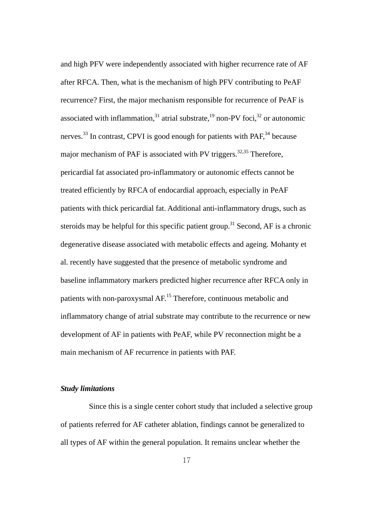and high PFV were independently associated with higher recurrence rate of AF after RFCA. Then, what is the mechanism of high PFV contributing to PeAF recurrence? First, the major mechanism responsible for recurrence of PeAF is associated with inflammation,  $31$  atrial substrate,  $19$  non-PV foci,  $32$  or autonomic nerves.<sup>33</sup> In contrast, CPVI is good enough for patients with PAF, $34$  because major mechanism of PAF is associated with PV triggers.<sup>32[,35](#page-27-0)</sup> Therefore, pericardial fat associated pro-inflammatory or autonomic effects cannot be treated efficiently by RFCA of endocardial approach, especially in PeAF patients with thick pericardial fat. Additional anti-inflammatory drugs, such as steroids may be helpful for this specific patient group.<sup>31</sup> Second, AF is a chronic degenerative disease associated with metabolic effects and ageing. Mohanty et al. recently have suggested that the presence of metabolic syndrome and baseline inflammatory markers predicted higher recurrence after RFCA only in patients with non-paroxysmal AF.[15](#page-25-0) Therefore, continuous metabolic and inflammatory change of atrial substrate may contribute to the recurrence or new development of AF in patients with PeAF, while PV reconnection might be a main mechanism of AF recurrence in patients with PAF.

#### *Study limitations*

 Since this is a single center cohort study that included a selective group of patients referred for AF catheter ablation, findings cannot be generalized to all types of AF within the general population. It remains unclear whether the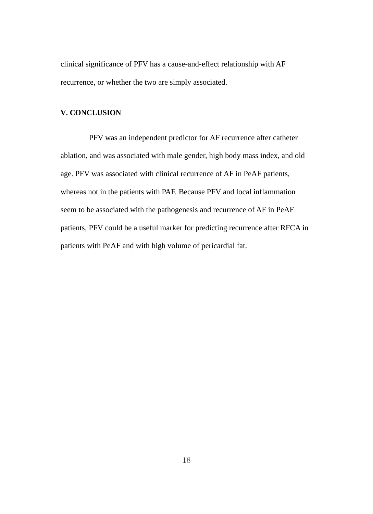clinical significance of PFV has a cause-and-effect relationship with AF recurrence, or whether the two are simply associated.

#### **V. CONCLUSION**

 PFV was an independent predictor for AF recurrence after catheter ablation, and was associated with male gender, high body mass index, and old age. PFV was associated with clinical recurrence of AF in PeAF patients, whereas not in the patients with PAF. Because PFV and local inflammation seem to be associated with the pathogenesis and recurrence of AF in PeAF patients, PFV could be a useful marker for predicting recurrence after RFCA in patients with PeAF and with high volume of pericardial fat.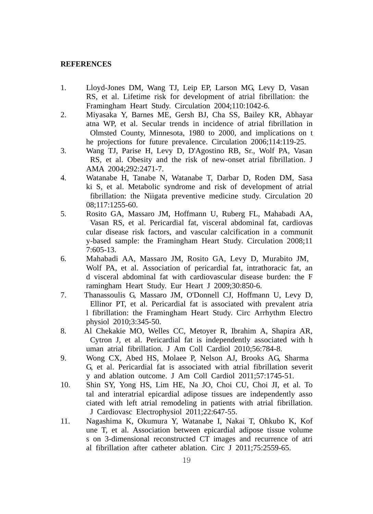#### <span id="page-24-0"></span>**REFERENCES**

- 1. Lloyd-Jones DM, Wang TJ, Leip EP, Larson MG, Levy D, Vasan RS, et al. Lifetime risk for development of atrial fibrillation: the Framingham Heart Study. Circulation 2004;110:1042-6.
- 2. Miyasaka Y, Barnes ME, Gersh BJ, Cha SS, Bailey KR, Abhayar atna WP, et al. Secular trends in incidence of atrial fibrillation in Olmsted County, Minnesota, 1980 to 2000, and implications on t he projections for future prevalence. Circulation 2006;114:119-25.
- 3. Wang TJ, Parise H, Levy D, D'Agostino RB, Sr., Wolf PA, Vasan RS, et al. Obesity and the risk of new-onset atrial fibrillation. J AMA 2004;292:2471-7.
- 4. Watanabe H, Tanabe N, Watanabe T, Darbar D, Roden DM, Sasa ki S, et al. Metabolic syndrome and risk of development of atrial fibrillation: the Niigata preventive medicine study. Circulation 20 08;117:1255-60.
- 5. Rosito GA, Massaro JM, Hoffmann U, Ruberg FL, Mahabadi AA, Vasan RS, et al. Pericardial fat, visceral abdominal fat, cardiovas cular disease risk factors, and vascular calcification in a communit y-based sample: the Framingham Heart Study. Circulation 2008;11 7:605-13.
- 6. Mahabadi AA, Massaro JM, Rosito GA, Levy D, Murabito JM, Wolf PA, et al. Association of pericardial fat, intrathoracic fat, an d visceral abdominal fat with cardiovascular disease burden: the F ramingham Heart Study. Eur Heart J 2009;30:850-6.
- 7. Thanassoulis G, Massaro JM, O'Donnell CJ, Hoffmann U, Levy D, Ellinor PT, et al. Pericardial fat is associated with prevalent atria l fibrillation: the Framingham Heart Study. Circ Arrhythm Electro physiol 2010;3:345-50.
- 8. Al Chekakie MO, Welles CC, Metoyer R, Ibrahim A, Shapira AR, Cytron J, et al. Pericardial fat is independently associated with h uman atrial fibrillation. J Am Coll Cardiol 2010;56:784-8.
- 9. Wong CX, Abed HS, Molaee P, Nelson AJ, Brooks AG, Sharma G, et al. Pericardial fat is associated with atrial fibrillation severit y and ablation outcome. J Am Coll Cardiol 2011;57:1745-51.
- 10. Shin SY, Yong HS, Lim HE, Na JO, Choi CU, Choi JI, et al. To tal and interatrial epicardial adipose tissues are independently asso ciated with left atrial remodeling in patients with atrial fibrillation. J Cardiovasc Electrophysiol 2011;22:647-55.
- 11. Nagashima K, Okumura Y, Watanabe I, Nakai T, Ohkubo K, Kof une T, et al. Association between epicardial adipose tissue volume s on 3-dimensional reconstructed CT images and recurrence of atri al fibrillation after catheter ablation. Circ J 2011;75:2559-65.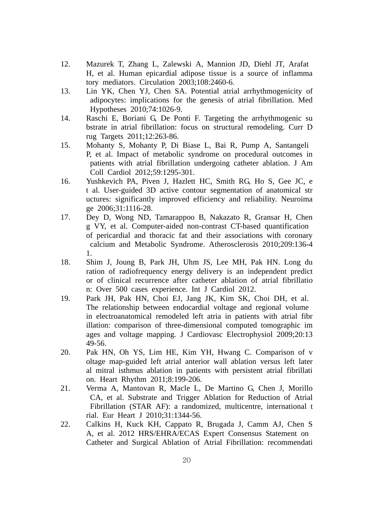- <span id="page-25-0"></span>12. Mazurek T, Zhang L, Zalewski A, Mannion JD, Diehl JT, Arafat H, et al. Human epicardial adipose tissue is a source of inflamma tory mediators. Circulation 2003;108:2460-6.
- 13. Lin YK, Chen YJ, Chen SA. Potential atrial arrhythmogenicity of adipocytes: implications for the genesis of atrial fibrillation. Med Hypotheses 2010;74:1026-9.
- 14. Raschi E, Boriani G, De Ponti F. Targeting the arrhythmogenic su bstrate in atrial fibrillation: focus on structural remodeling. Curr D rug Targets 2011;12:263-86.
- 15. Mohanty S, Mohanty P, Di Biase L, Bai R, Pump A, Santangeli P, et al. Impact of metabolic syndrome on procedural outcomes in patients with atrial fibrillation undergoing catheter ablation. J Am Coll Cardiol 2012;59:1295-301.
- 16. Yushkevich PA, Piven J, Hazlett HC, Smith RG, Ho S, Gee JC, e t al. User-guided 3D active contour segmentation of anatomical str uctures: significantly improved efficiency and reliability. Neuroima ge 2006;31:1116-28.
- 17. Dey D, Wong ND, Tamarappoo B, Nakazato R, Gransar H, Chen g VY, et al. Computer-aided non-contrast CT-based quantification of pericardial and thoracic fat and their associations with coronary calcium and Metabolic Syndrome. Atherosclerosis 2010;209:136-4 1.
- 18. Shim J, Joung B, Park JH, Uhm JS, Lee MH, Pak HN. Long du ration of radiofrequency energy delivery is an independent predict or of clinical recurrence after catheter ablation of atrial fibrillatio n: Over 500 cases experience. Int J Cardiol 2012.
- 19. Park JH, Pak HN, Choi EJ, Jang JK, Kim SK, Choi DH, et al. The relationship between endocardial voltage and regional volume in electroanatomical remodeled left atria in patients with atrial fibr illation: comparison of three-dimensional computed tomographic im ages and voltage mapping. J Cardiovasc Electrophysiol 2009;20:13 49-56.
- 20. Pak HN, Oh YS, Lim HE, Kim YH, Hwang C. Comparison of v oltage map-guided left atrial anterior wall ablation versus left later al mitral isthmus ablation in patients with persistent atrial fibrillati on. Heart Rhythm 2011;8:199-206.
- 21. Verma A, Mantovan R, Macle L, De Martino G, Chen J, Morillo CA, et al. Substrate and Trigger Ablation for Reduction of Atrial Fibrillation (STAR AF): a randomized, multicentre, international t rial. Eur Heart J 2010;31:1344-56.
- 22. Calkins H, Kuck KH, Cappato R, Brugada J, Camm AJ, Chen S A, et al. 2012 HRS/EHRA/ECAS Expert Consensus Statement on Catheter and Surgical Ablation of Atrial Fibrillation: recommendati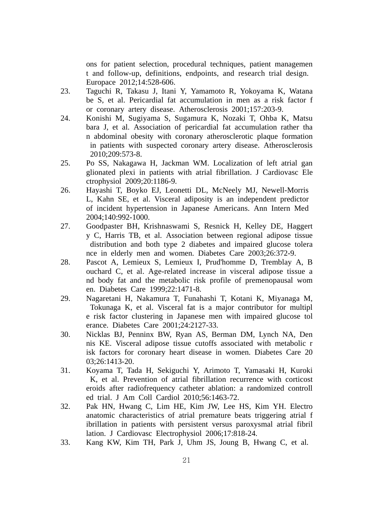<span id="page-26-0"></span>ons for patient selection, procedural techniques, patient managemen t and follow-up, definitions, endpoints, and research trial design. Europace 2012;14:528-606.

- 23. Taguchi R, Takasu J, Itani Y, Yamamoto R, Yokoyama K, Watana be S, et al. Pericardial fat accumulation in men as a risk factor f or coronary artery disease. Atherosclerosis 2001;157:203-9.
- 24. Konishi M, Sugiyama S, Sugamura K, Nozaki T, Ohba K, Matsu bara J, et al. Association of pericardial fat accumulation rather tha n abdominal obesity with coronary atherosclerotic plaque formation in patients with suspected coronary artery disease. Atherosclerosis 2010;209:573-8.
- 25. Po SS, Nakagawa H, Jackman WM. Localization of left atrial gan glionated plexi in patients with atrial fibrillation. J Cardiovasc Ele ctrophysiol 2009;20:1186-9.
- 26. Hayashi T, Boyko EJ, Leonetti DL, McNeely MJ, Newell-Morris L, Kahn SE, et al. Visceral adiposity is an independent predictor of incident hypertension in Japanese Americans. Ann Intern Med 2004;140:992-1000.
- 27. Goodpaster BH, Krishnaswami S, Resnick H, Kelley DE, Haggert y C, Harris TB, et al. Association between regional adipose tissue distribution and both type 2 diabetes and impaired glucose tolera nce in elderly men and women. Diabetes Care 2003;26:372-9.
- 28. Pascot A, Lemieux S, Lemieux I, Prud'homme D, Tremblay A, B ouchard C, et al. Age-related increase in visceral adipose tissue a nd body fat and the metabolic risk profile of premenopausal wom en. Diabetes Care 1999;22:1471-8.
- 29. Nagaretani H, Nakamura T, Funahashi T, Kotani K, Miyanaga M, Tokunaga K, et al. Visceral fat is a major contributor for multipl e risk factor clustering in Japanese men with impaired glucose tol erance. Diabetes Care 2001;24:2127-33.
- 30. Nicklas BJ, Penninx BW, Ryan AS, Berman DM, Lynch NA, Den nis KE. Visceral adipose tissue cutoffs associated with metabolic r isk factors for coronary heart disease in women. Diabetes Care 20 03;26:1413-20.
- 31. Koyama T, Tada H, Sekiguchi Y, Arimoto T, Yamasaki H, Kuroki K, et al. Prevention of atrial fibrillation recurrence with corticost eroids after radiofrequency catheter ablation: a randomized controll ed trial. J Am Coll Cardiol 2010;56:1463-72.
- 32. Pak HN, Hwang C, Lim HE, Kim JW, Lee HS, Kim YH. Electro anatomic characteristics of atrial premature beats triggering atrial f ibrillation in patients with persistent versus paroxysmal atrial fibril lation. J Cardiovasc Electrophysiol 2006;17:818-24.
- 33. Kang KW, Kim TH, Park J, Uhm JS, Joung B, Hwang C, et al.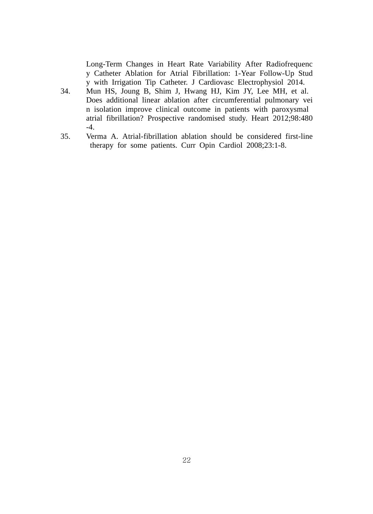<span id="page-27-0"></span>Long-Term Changes in Heart Rate Variability After Radiofrequenc y Catheter Ablation for Atrial Fibrillation: 1-Year Follow-Up Stud y with Irrigation Tip Catheter. J Cardiovasc Electrophysiol 2014.

- 34. Mun HS, Joung B, Shim J, Hwang HJ, Kim JY, Lee MH, et al. Does additional linear ablation after circumferential pulmonary vei n isolation improve clinical outcome in patients with paroxysmal atrial fibrillation? Prospective randomised study. Heart 2012;98:480 -4.
- 35. Verma A. Atrial-fibrillation ablation should be considered first-line therapy for some patients. Curr Opin Cardiol 2008;23:1-8.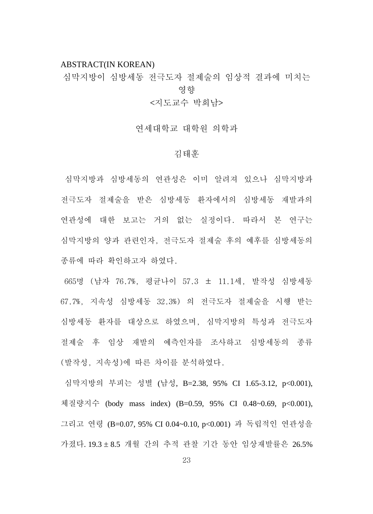#### ABSTRACT(IN KOREAN)

### 심막지방이 심방세동 전극도자 절제술의 임상적 결과에 미치는 영향 <지도교수 박희남>

#### 연세대학교 대학원 의학과

#### 김태훈

심막지방과 심방세동의 연관성은 이미 알려져 있으나 심막지방과 전극도자 절제술을 받은 심방세동 환자에서의 심방세동 재발과의 연관성에 대한 보고는 거의 없는 실정이다. 따라서 본 연구는 심막지방의 양과 관련인자, 전극도자 절제술 후의 예후를 심방세동의 종류에 따라 확인하고자 하였다.

665명 (남자 76.7%, 평균나이 57.3 ± 11.1세, 발작성 심방세동 67.7%, 지속성 심방세동 32.3%) 의 전극도자 절제술을 시행 받는 심방세동 환자를 대상으로 하였으며, 심막지방의 특성과 전극도자 절제술 후 임상 재발의 예측인자를 조사하고 심방세동의 종류 (발작성, 지속성)에 따른 차이를 분석하였다.

 심막지방의 부피는 성별 (남성, B=2.38, 95% CI 1.65-3.12, p<0.001), 체질량지수 (body mass index) (B=0.59, 95% CI 0.48∼0.69, p<0.001), 그리고 연령 (B=0.07, 95% CI 0.04~0.10, p<0.001) 과 독립적인 연관성을 가졌다. 19.3 ± 8.5 개월 간의 추적 관찰 기간 동안 임상재발률은 26.5%